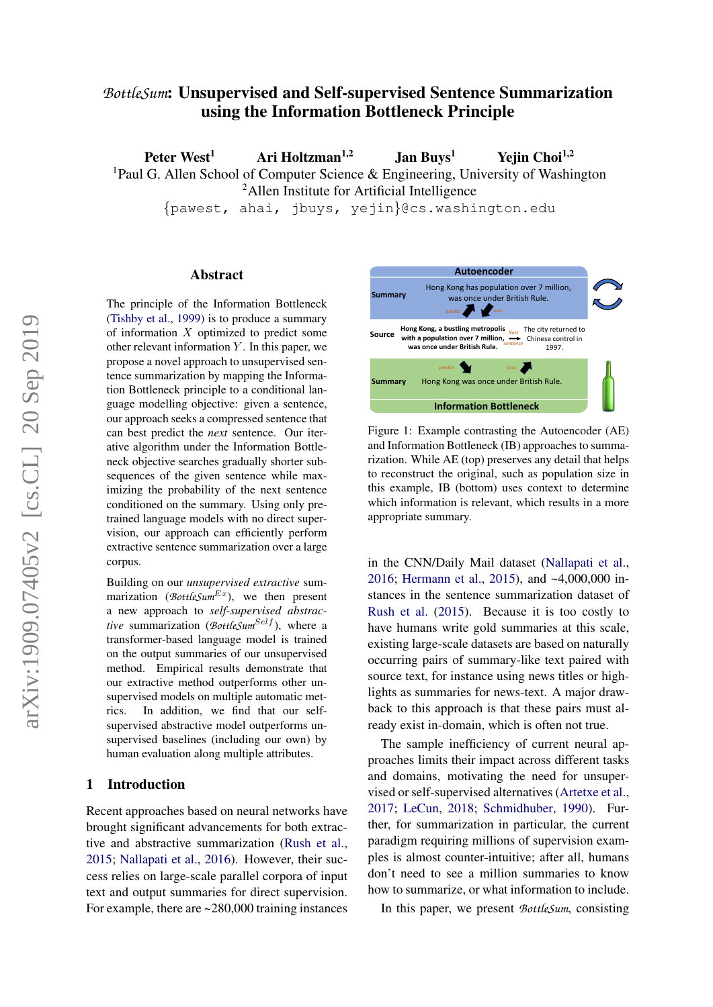# *BottleSum*: Unsupervised and Self-supervised Sentence Summarization using the Information Bottleneck Principle

Peter West<sup>1</sup> Ari Holtzman<sup>1,2</sup> Jan Buys<sup>1</sup> Yejin Choi<sup>1,2</sup> <sup>1</sup>Paul G. Allen School of Computer Science & Engineering, University of Washington <sup>2</sup>Allen Institute for Artificial Intelligence

{pawest, ahai, jbuys, yejin}@cs.washington.edu

### Abstract

The principle of the Information Bottleneck [\(Tishby et al.,](#page-9-0) [1999\)](#page-9-0) is to produce a summary of information X optimized to predict some other relevant information  $Y$ . In this paper, we propose a novel approach to unsupervised sentence summarization by mapping the Information Bottleneck principle to a conditional language modelling objective: given a sentence, our approach seeks a compressed sentence that can best predict the *next* sentence. Our iterative algorithm under the Information Bottleneck objective searches gradually shorter subsequences of the given sentence while maximizing the probability of the next sentence conditioned on the summary. Using only pretrained language models with no direct supervision, our approach can efficiently perform extractive sentence summarization over a large corpus.

Building on our *unsupervised extractive* summarization (*BottleSum<sup>Ex</sup>*), we then present a new approach to *self-supervised abstractive* summarization (*BottleSum<sup>Self</sup>*), where a transformer-based language model is trained on the output summaries of our unsupervised method. Empirical results demonstrate that our extractive method outperforms other unsupervised models on multiple automatic metrics. In addition, we find that our selfsupervised abstractive model outperforms unsupervised baselines (including our own) by human evaluation along multiple attributes.

### 1 Introduction

Recent approaches based on neural networks have brought significant advancements for both extractive and abstractive summarization [\(Rush et al.,](#page-9-1) [2015;](#page-9-1) [Nallapati et al.,](#page-9-2) [2016\)](#page-9-2). However, their success relies on large-scale parallel corpora of input text and output summaries for direct supervision. For example, there are  $\sim$  280,000 training instances

<span id="page-0-0"></span>

Figure 1: Example contrasting the Autoencoder (AE) and Information Bottleneck (IB) approaches to summarization. While AE (top) preserves any detail that helps to reconstruct the original, such as population size in this example, IB (bottom) uses context to determine which information is relevant, which results in a more appropriate summary.

in the CNN/Daily Mail dataset [\(Nallapati et al.,](#page-9-2) [2016;](#page-9-2) [Hermann et al.,](#page-9-3) [2015\)](#page-9-3), and ~4,000,000 instances in the sentence summarization dataset of [Rush et al.](#page-9-1) [\(2015\)](#page-9-1). Because it is too costly to have humans write gold summaries at this scale, existing large-scale datasets are based on naturally occurring pairs of summary-like text paired with source text, for instance using news titles or highlights as summaries for news-text. A major drawback to this approach is that these pairs must already exist in-domain, which is often not true.

The sample inefficiency of current neural approaches limits their impact across different tasks and domains, motivating the need for unsupervised or self-supervised alternatives [\(Artetxe et al.,](#page-9-4) [2017;](#page-9-4) [LeCun,](#page-9-5) [2018;](#page-9-5) [Schmidhuber,](#page-9-6) [1990\)](#page-9-6). Further, for summarization in particular, the current paradigm requiring millions of supervision examples is almost counter-intuitive; after all, humans don't need to see a million summaries to know how to summarize, or what information to include.

In this paper, we present *BottleSum*, consisting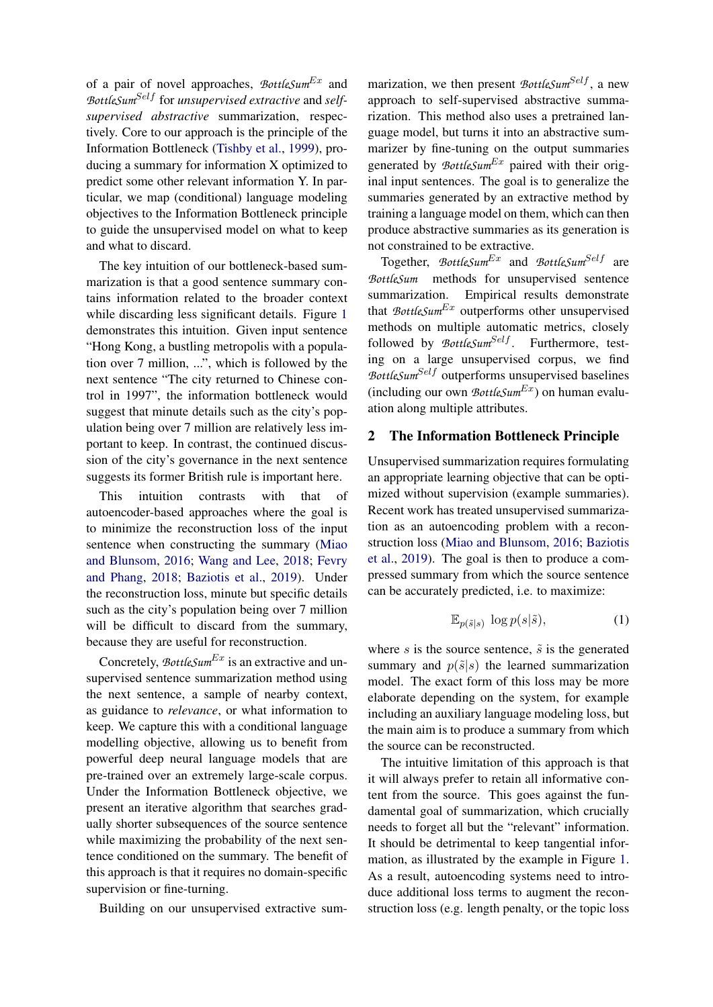of a pair of novel approaches, *BottleSum*Ex and BottleSum<sup>Self</sup> for *unsupervised* extractive and self*supervised abstractive* summarization, respectively. Core to our approach is the principle of the Information Bottleneck [\(Tishby et al.,](#page-9-0) [1999\)](#page-9-0), producing a summary for information X optimized to predict some other relevant information Y. In particular, we map (conditional) language modeling objectives to the Information Bottleneck principle to guide the unsupervised model on what to keep and what to discard.

The key intuition of our bottleneck-based summarization is that a good sentence summary contains information related to the broader context while discarding less significant details. Figure [1](#page-0-0) demonstrates this intuition. Given input sentence "Hong Kong, a bustling metropolis with a population over 7 million, ...", which is followed by the next sentence "The city returned to Chinese control in 1997", the information bottleneck would suggest that minute details such as the city's population being over 7 million are relatively less important to keep. In contrast, the continued discussion of the city's governance in the next sentence suggests its former British rule is important here.

This intuition contrasts with that of autoencoder-based approaches where the goal is to minimize the reconstruction loss of the input sentence when constructing the summary [\(Miao](#page-9-7) [and Blunsom,](#page-9-7) [2016;](#page-9-7) [Wang and Lee,](#page-10-0) [2018;](#page-10-0) [Fevry](#page-9-8) [and Phang,](#page-9-8) [2018;](#page-9-8) [Baziotis et al.,](#page-9-9) [2019\)](#page-9-9). Under the reconstruction loss, minute but specific details such as the city's population being over 7 million will be difficult to discard from the summary, because they are useful for reconstruction.

Concretely, *BottleSum<sup>Ex</sup>* is an extractive and unsupervised sentence summarization method using the next sentence, a sample of nearby context, as guidance to *relevance*, or what information to keep. We capture this with a conditional language modelling objective, allowing us to benefit from powerful deep neural language models that are pre-trained over an extremely large-scale corpus. Under the Information Bottleneck objective, we present an iterative algorithm that searches gradually shorter subsequences of the source sentence while maximizing the probability of the next sentence conditioned on the summary. The benefit of this approach is that it requires no domain-specific supervision or fine-turning.

Building on our unsupervised extractive sum-

marization, we then present *BottleSum<sup>Self</sup>*, a new approach to self-supervised abstractive summarization. This method also uses a pretrained language model, but turns it into an abstractive summarizer by fine-tuning on the output summaries generated by *BottleSum<sup>Ex</sup>* paired with their original input sentences. The goal is to generalize the summaries generated by an extractive method by training a language model on them, which can then produce abstractive summaries as its generation is not constrained to be extractive.

Together, *BottleSum<sup>Ex</sup>* and *BottleSum<sup>Self</sup>* are *BottleSum* methods for unsupervised sentence summarization. Empirical results demonstrate that  $BottleSum<sup>Ex</sup>$  outperforms other unsupervised methods on multiple automatic metrics, closely followed by *BottleSum<sup>Self</sup>*. Furthermore, testing on a large unsupervised corpus, we find *BottleSum<sup>Self</sup>* outperforms unsupervised baselines (including our own  $BottleSum<sup>Ex</sup>$ ) on human evaluation along multiple attributes.

### <span id="page-1-1"></span>2 The Information Bottleneck Principle

Unsupervised summarization requires formulating an appropriate learning objective that can be optimized without supervision (example summaries). Recent work has treated unsupervised summarization as an autoencoding problem with a reconstruction loss [\(Miao and Blunsom,](#page-9-7) [2016;](#page-9-7) [Baziotis](#page-9-9) [et al.,](#page-9-9) [2019\)](#page-9-9). The goal is then to produce a compressed summary from which the source sentence can be accurately predicted, i.e. to maximize:

<span id="page-1-0"></span>
$$
\mathbb{E}_{p(\tilde{s}|s)} \, \log p(s|\tilde{s}),\tag{1}
$$

where s is the source sentence,  $\tilde{s}$  is the generated summary and  $p(\tilde{s}|s)$  the learned summarization model. The exact form of this loss may be more elaborate depending on the system, for example including an auxiliary language modeling loss, but the main aim is to produce a summary from which the source can be reconstructed.

The intuitive limitation of this approach is that it will always prefer to retain all informative content from the source. This goes against the fundamental goal of summarization, which crucially needs to forget all but the "relevant" information. It should be detrimental to keep tangential information, as illustrated by the example in Figure [1.](#page-0-0) As a result, autoencoding systems need to introduce additional loss terms to augment the reconstruction loss (e.g. length penalty, or the topic loss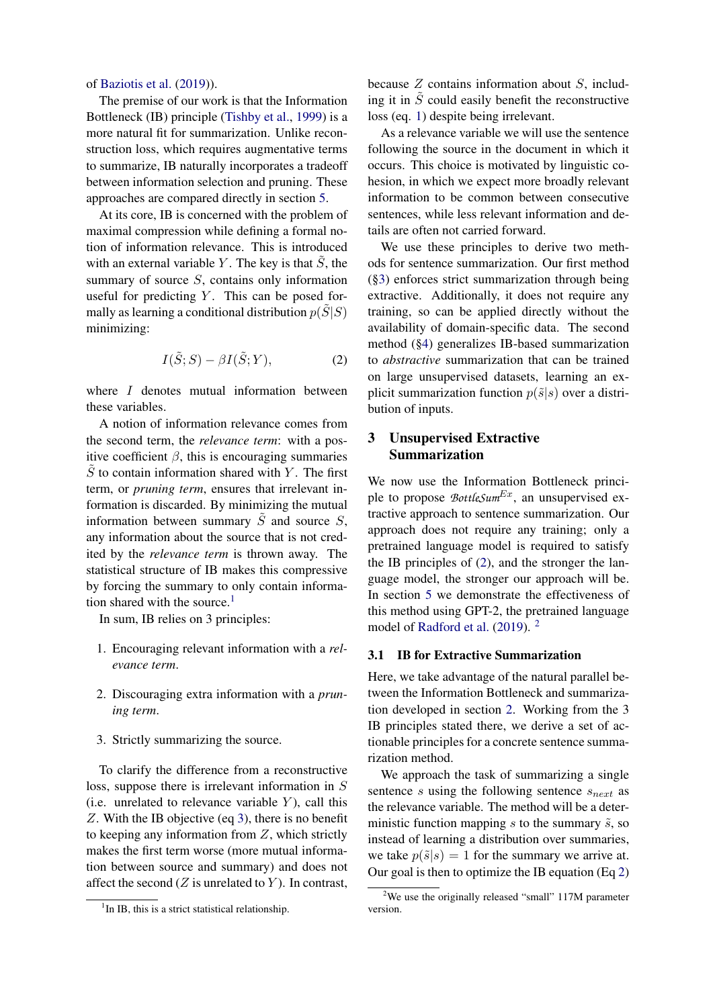### of [Baziotis et al.](#page-9-9) [\(2019\)](#page-9-9)).

The premise of our work is that the Information Bottleneck (IB) principle [\(Tishby et al.,](#page-9-0) [1999\)](#page-9-0) is a more natural fit for summarization. Unlike reconstruction loss, which requires augmentative terms to summarize, IB naturally incorporates a tradeoff between information selection and pruning. These approaches are compared directly in section [5.](#page-4-0)

At its core, IB is concerned with the problem of maximal compression while defining a formal notion of information relevance. This is introduced with an external variable  $Y$ . The key is that  $S$ , the summary of source S, contains only information useful for predicting  $Y$ . This can be posed formally as learning a conditional distribution  $p(S|S)$ minimizing:

<span id="page-2-3"></span>
$$
I(\tilde{S};S) - \beta I(\tilde{S};Y),\tag{2}
$$

where *I* denotes mutual information between these variables.

A notion of information relevance comes from the second term, the *relevance term*: with a positive coefficient  $\beta$ , this is encouraging summaries  $S$  to contain information shared with  $Y$ . The first term, or *pruning term*, ensures that irrelevant information is discarded. By minimizing the mutual information between summary  $\tilde{S}$  and source  $S$ , any information about the source that is not credited by the *relevance term* is thrown away. The statistical structure of IB makes this compressive by forcing the summary to only contain informa-tion shared with the source.<sup>[1](#page-2-0)</sup>

In sum, IB relies on 3 principles:

- 1. Encouraging relevant information with a *relevance term*.
- 2. Discouraging extra information with a *pruning term*.
- 3. Strictly summarizing the source.

To clarify the difference from a reconstructive loss, suppose there is irrelevant information in S (i.e. unrelated to relevance variable  $Y$ ), call this Z. With the IB objective (eq [3\)](#page-3-0), there is no benefit to keeping any information from Z, which strictly makes the first term worse (more mutual information between source and summary) and does not affect the second  $(Z$  is unrelated to  $Y$ ). In contrast, because  $Z$  contains information about  $S$ , including it in  $\tilde{S}$  could easily benefit the reconstructive loss (eq. [1\)](#page-1-0) despite being irrelevant.

As a relevance variable we will use the sentence following the source in the document in which it occurs. This choice is motivated by linguistic cohesion, in which we expect more broadly relevant information to be common between consecutive sentences, while less relevant information and details are often not carried forward.

We use these principles to derive two methods for sentence summarization. Our first method ([§3\)](#page-2-1) enforces strict summarization through being extractive. Additionally, it does not require any training, so can be applied directly without the availability of domain-specific data. The second method ([§4\)](#page-3-1) generalizes IB-based summarization to *abstractive* summarization that can be trained on large unsupervised datasets, learning an explicit summarization function  $p(\tilde{s}|s)$  over a distribution of inputs.

# <span id="page-2-1"></span>3 Unsupervised Extractive Summarization

We now use the Information Bottleneck principle to propose *BottleSum<sup>Ex</sup>*, an unsupervised extractive approach to sentence summarization. Our approach does not require any training; only a pretrained language model is required to satisfy the IB principles of [\(2\)](#page-1-1), and the stronger the language model, the stronger our approach will be. In section [5](#page-4-0) we demonstrate the effectiveness of this method using GPT-2, the pretrained language model of [Radford et al.](#page-9-10) [\(2019\)](#page-9-10). <sup>[2](#page-2-2)</sup>

### 3.1 IB for Extractive Summarization

Here, we take advantage of the natural parallel between the Information Bottleneck and summarization developed in section [2.](#page-1-1) Working from the 3 IB principles stated there, we derive a set of actionable principles for a concrete sentence summarization method.

We approach the task of summarizing a single sentence s using the following sentence  $s_{next}$  as the relevance variable. The method will be a deterministic function mapping s to the summary  $\tilde{s}$ , so instead of learning a distribution over summaries, we take  $p(\tilde{s}|s) = 1$  for the summary we arrive at. Our goal is then to optimize the IB equation (Eq [2\)](#page-2-3)

<span id="page-2-0"></span><sup>&</sup>lt;sup>1</sup>In IB, this is a strict statistical relationship.

<span id="page-2-2"></span><sup>&</sup>lt;sup>2</sup>We use the originally released "small"  $117M$  parameter version.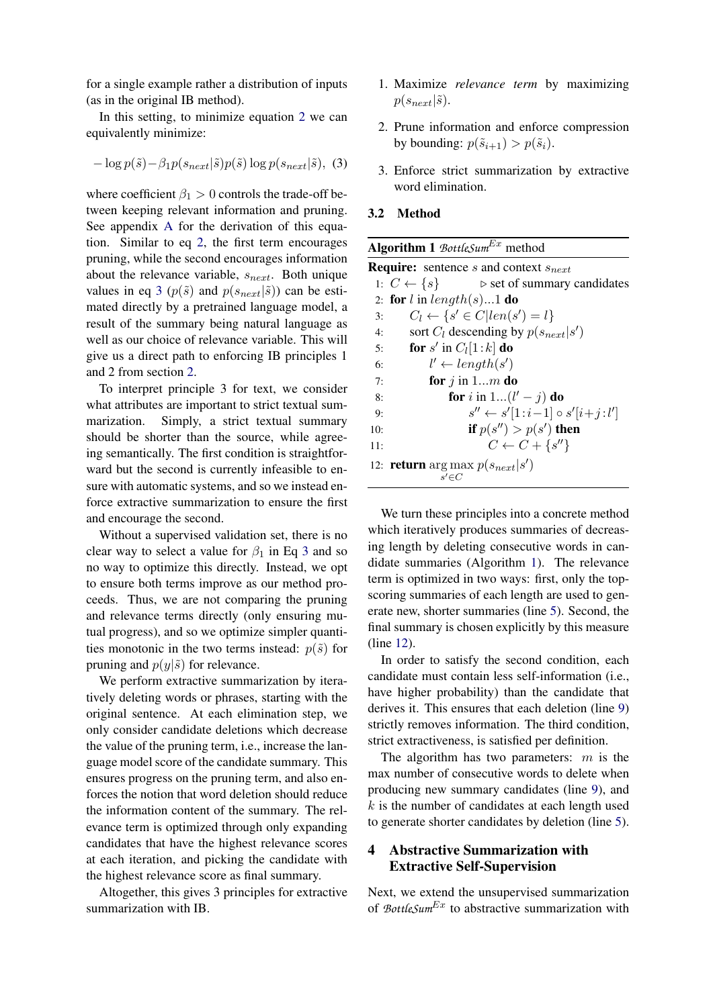for a single example rather a distribution of inputs (as in the original IB method).

In this setting, to minimize equation [2](#page-2-3) we can equivalently minimize:

<span id="page-3-0"></span>
$$
-\log p(\tilde{s}) - \beta_1 p(s_{next}|\tilde{s}) p(\tilde{s}) \log p(s_{next}|\tilde{s}), \quad (3)
$$

where coefficient  $\beta_1 > 0$  controls the trade-off between keeping relevant information and pruning. See appendix [A](#page-11-0) for the derivation of this equation. Similar to eq [2,](#page-2-3) the first term encourages pruning, while the second encourages information about the relevance variable,  $s_{next}$ . Both unique values in eq [3](#page-3-0) ( $p(\tilde{s})$  and  $p(s_{next}|\tilde{s})$ ) can be estimated directly by a pretrained language model, a result of the summary being natural language as well as our choice of relevance variable. This will give us a direct path to enforcing IB principles 1 and 2 from section [2.](#page-1-1)

To interpret principle 3 for text, we consider what attributes are important to strict textual summarization. Simply, a strict textual summary should be shorter than the source, while agreeing semantically. The first condition is straightforward but the second is currently infeasible to ensure with automatic systems, and so we instead enforce extractive summarization to ensure the first and encourage the second.

Without a supervised validation set, there is no clear way to select a value for  $\beta_1$  in Eq [3](#page-3-0) and so no way to optimize this directly. Instead, we opt to ensure both terms improve as our method proceeds. Thus, we are not comparing the pruning and relevance terms directly (only ensuring mutual progress), and so we optimize simpler quantities monotonic in the two terms instead:  $p(\tilde{s})$  for pruning and  $p(y|\tilde{s})$  for relevance.

We perform extractive summarization by iteratively deleting words or phrases, starting with the original sentence. At each elimination step, we only consider candidate deletions which decrease the value of the pruning term, i.e., increase the language model score of the candidate summary. This ensures progress on the pruning term, and also enforces the notion that word deletion should reduce the information content of the summary. The relevance term is optimized through only expanding candidates that have the highest relevance scores at each iteration, and picking the candidate with the highest relevance score as final summary.

Altogether, this gives 3 principles for extractive summarization with IB.

- 1. Maximize *relevance term* by maximizing  $p(s_{next}|\tilde{s})$ .
- 2. Prune information and enforce compression by bounding:  $p(\tilde{s}_{i+1}) > p(\tilde{s}_i)$ .
- 3. Enforce strict summarization by extractive word elimination.
- <span id="page-3-3"></span>3.2 Method

<span id="page-3-2"></span>

| <b>Algorithm 1</b> BottleSum <sup>Ex</sup> method |  |  |
|---------------------------------------------------|--|--|
|---------------------------------------------------|--|--|

|     | <b>Require:</b> sentence s and context $s_{next}$                     |
|-----|-----------------------------------------------------------------------|
|     | 1: $C \leftarrow \{s\}$<br>$\triangleright$ set of summary candidates |
|     | 2: for l in length(s)1 do                                             |
| 3:  | $C_l \leftarrow \{s' \in C \mid len(s') = l\}$                        |
| 4:  | sort $C_l$ descending by $p(s_{next} s')$                             |
| 5:  | for s' in $C_l[1:k]$ do                                               |
| 6:  | $l' \leftarrow length(s')$                                            |
| 7:  | for $j$ in 1m do                                                      |
| 8:  | for i in 1 $(l'-j)$ do                                                |
| 9:  | $s'' \leftarrow s'[1:i-1] \circ s'[i+j:l']$                           |
| 10: | if $p(s'') > p(s')$ then                                              |
| 11: | $C \leftarrow C + \{s''\}$                                            |
|     | 12: <b>return</b> arg max $p(s_{next} s')$<br>$s' \in C$              |

We turn these principles into a concrete method which iteratively produces summaries of decreasing length by deleting consecutive words in candidate summaries (Algorithm [1\)](#page-3-2). The relevance term is optimized in two ways: first, only the topscoring summaries of each length are used to generate new, shorter summaries (line [5\)](#page-3-2). Second, the final summary is chosen explicitly by this measure (line [12\)](#page-3-2).

In order to satisfy the second condition, each candidate must contain less self-information (i.e., have higher probability) than the candidate that derives it. This ensures that each deletion (line [9\)](#page-3-2) strictly removes information. The third condition, strict extractiveness, is satisfied per definition.

The algorithm has two parameters:  $m$  is the max number of consecutive words to delete when producing new summary candidates (line [9\)](#page-3-2), and  $k$  is the number of candidates at each length used to generate shorter candidates by deletion (line [5\)](#page-3-2).

# <span id="page-3-1"></span>4 Abstractive Summarization with Extractive Self-Supervision

Next, we extend the unsupervised summarization of *BottleSum<sup>Ex</sup>* to abstractive summarization with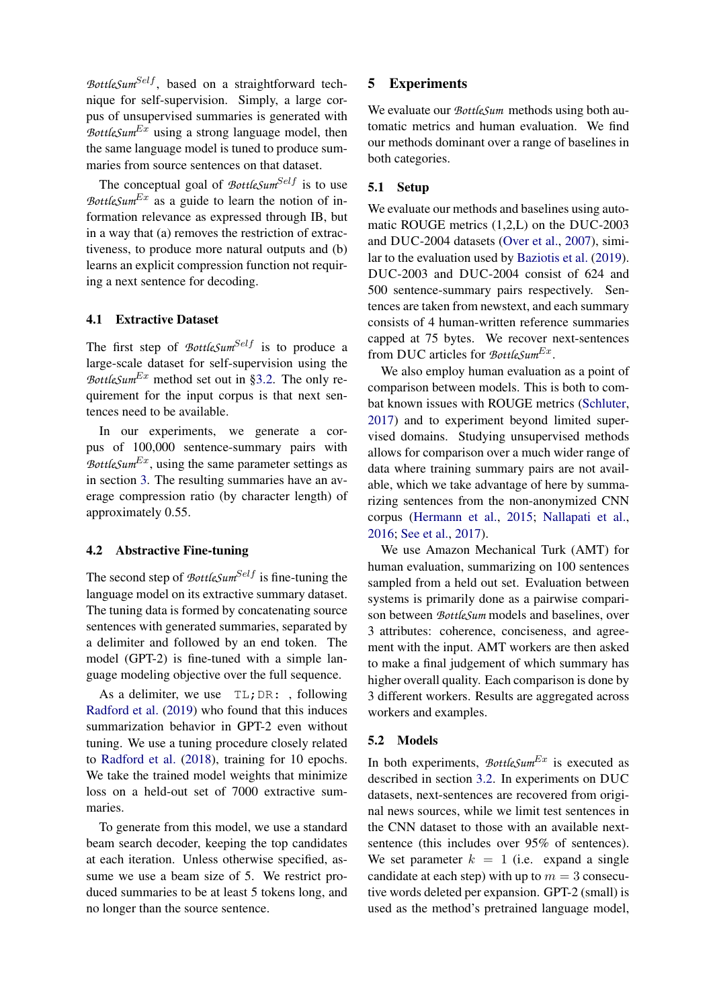*BottleSum<sup>Self</sup>*, based on a straightforward technique for self-supervision. Simply, a large corpus of unsupervised summaries is generated with *BottleSum*Ex using a strong language model, then the same language model is tuned to produce summaries from source sentences on that dataset.

The conceptual goal of  $BottleSum<sup>Self</sup>$  is to use *BottleSum*<sup>Ex</sup> as a guide to learn the notion of information relevance as expressed through IB, but in a way that (a) removes the restriction of extractiveness, to produce more natural outputs and (b) learns an explicit compression function not requiring a next sentence for decoding.

### 4.1 Extractive Dataset

The first step of *BottleSum<sup>Self</sup>* is to produce a large-scale dataset for self-supervision using the *BottleSum*<sup>Ex</sup> method set out in [§3.2.](#page-3-3) The only requirement for the input corpus is that next sentences need to be available.

In our experiments, we generate a corpus of 100,000 sentence-summary pairs with *BottleSum*<sup>Ex</sup>, using the same parameter settings as in section [3.](#page-2-1) The resulting summaries have an average compression ratio (by character length) of approximately 0.55.

### 4.2 Abstractive Fine-tuning

The second step of *BottleSum<sup>Self</sup>* is fine-tuning the language model on its extractive summary dataset. The tuning data is formed by concatenating source sentences with generated summaries, separated by a delimiter and followed by an end token. The model (GPT-2) is fine-tuned with a simple language modeling objective over the full sequence.

As a delimiter, we use  $TL;DR:$ , following [Radford et al.](#page-9-10) [\(2019\)](#page-9-10) who found that this induces summarization behavior in GPT-2 even without tuning. We use a tuning procedure closely related to [Radford et al.](#page-9-11) [\(2018\)](#page-9-11), training for 10 epochs. We take the trained model weights that minimize loss on a held-out set of 7000 extractive summaries.

To generate from this model, we use a standard beam search decoder, keeping the top candidates at each iteration. Unless otherwise specified, assume we use a beam size of 5. We restrict produced summaries to be at least 5 tokens long, and no longer than the source sentence.

### <span id="page-4-0"></span>5 Experiments

We evaluate our *BottleSum* methods using both automatic metrics and human evaluation. We find our methods dominant over a range of baselines in both categories.

### 5.1 Setup

We evaluate our methods and baselines using automatic ROUGE metrics (1,2,L) on the DUC-2003 and DUC-2004 datasets [\(Over et al.,](#page-9-12) [2007\)](#page-9-12), similar to the evaluation used by [Baziotis et al.](#page-9-9) [\(2019\)](#page-9-9). DUC-2003 and DUC-2004 consist of 624 and 500 sentence-summary pairs respectively. Sentences are taken from newstext, and each summary consists of 4 human-written reference summaries capped at 75 bytes. We recover next-sentences from DUC articles for *BottleSum<sup>Ex</sup>*.

We also employ human evaluation as a point of comparison between models. This is both to combat known issues with ROUGE metrics [\(Schluter,](#page-9-13) [2017\)](#page-9-13) and to experiment beyond limited supervised domains. Studying unsupervised methods allows for comparison over a much wider range of data where training summary pairs are not available, which we take advantage of here by summarizing sentences from the non-anonymized CNN corpus [\(Hermann et al.,](#page-9-3) [2015;](#page-9-3) [Nallapati et al.,](#page-9-2) [2016;](#page-9-2) [See et al.,](#page-9-14) [2017\)](#page-9-14).

We use Amazon Mechanical Turk (AMT) for human evaluation, summarizing on 100 sentences sampled from a held out set. Evaluation between systems is primarily done as a pairwise comparison between *BottleSum* models and baselines, over 3 attributes: coherence, conciseness, and agreement with the input. AMT workers are then asked to make a final judgement of which summary has higher overall quality. Each comparison is done by 3 different workers. Results are aggregated across workers and examples.

### 5.2 Models

In both experiments, *BottleSum<sup>Ex</sup>* is executed as described in section [3.2.](#page-3-3) In experiments on DUC datasets, next-sentences are recovered from original news sources, while we limit test sentences in the CNN dataset to those with an available nextsentence (this includes over 95% of sentences). We set parameter  $k = 1$  (i.e. expand a single candidate at each step) with up to  $m = 3$  consecutive words deleted per expansion. GPT-2 (small) is used as the method's pretrained language model,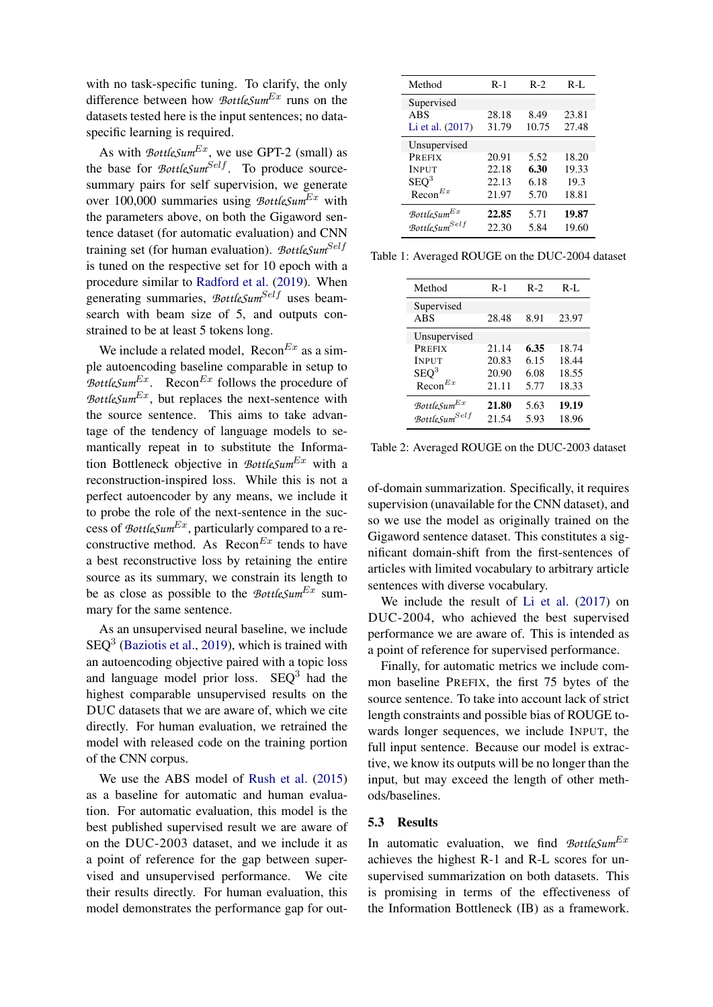with no task-specific tuning. To clarify, the only difference between how *BottleSum*<sup>Ex</sup> runs on the datasets tested here is the input sentences; no dataspecific learning is required.

As with  $BottleSum<sup>Ex</sup>$ , we use GPT-2 (small) as the base for *BottleSum<sup>Self</sup>*. To produce sourcesummary pairs for self supervision, we generate over 100,000 summaries using *BottleSum*Ex with the parameters above, on both the Gigaword sentence dataset (for automatic evaluation) and CNN training set (for human evaluation). *BottleSum<sup>Self</sup>* is tuned on the respective set for 10 epoch with a procedure similar to [Radford et al.](#page-9-10) [\(2019\)](#page-9-10). When generating summaries, *BottleSum<sup>Self</sup>* uses beamsearch with beam size of 5, and outputs constrained to be at least 5 tokens long.

We include a related model,  $\text{Recon}^{Ex}$  as a simple autoencoding baseline comparable in setup to *BottleSum*<sup>Ex</sup>. Recon<sup>Ex</sup> follows the procedure of *BottleSum*<sup>Ex</sup>, but replaces the next-sentence with the source sentence. This aims to take advantage of the tendency of language models to semantically repeat in to substitute the Information Bottleneck objective in *BottleSum*Ex with a reconstruction-inspired loss. While this is not a perfect autoencoder by any means, we include it to probe the role of the next-sentence in the success of *BottleSum*Ex, particularly compared to a reconstructive method. As  $\text{Recon}^{Ex}$  tends to have a best reconstructive loss by retaining the entire source as its summary, we constrain its length to be as close as possible to the *BottleSum<sup>Ex</sup>* summary for the same sentence.

As an unsupervised neural baseline, we include  $SEQ<sup>3</sup>$  [\(Baziotis et al.,](#page-9-9) [2019\)](#page-9-9), which is trained with an autoencoding objective paired with a topic loss and language model prior loss.  $SEQ<sup>3</sup>$  had the highest comparable unsupervised results on the DUC datasets that we are aware of, which we cite directly. For human evaluation, we retrained the model with released code on the training portion of the CNN corpus.

We use the ABS model of [Rush et al.](#page-9-1) [\(2015\)](#page-9-1) as a baseline for automatic and human evaluation. For automatic evaluation, this model is the best published supervised result we are aware of on the DUC-2003 dataset, and we include it as a point of reference for the gap between supervised and unsupervised performance. We cite their results directly. For human evaluation, this model demonstrates the performance gap for out-

<span id="page-5-0"></span>

| Method                                                                            | $R-1$                            | $R-2$                        | $R-I.$                          |
|-----------------------------------------------------------------------------------|----------------------------------|------------------------------|---------------------------------|
| Supervised<br><b>ABS</b><br>Li et al. (2017)                                      | 28.18<br>31.79                   | 8.49<br>10.75                | 23.81<br>27.48                  |
| Unsupervised<br>PREFIX<br><b>INPUT</b><br>SEQ <sup>3</sup><br>$\text{Recon}^{Ex}$ | 20.91<br>22.18<br>22.13<br>21.97 | 5.52<br>6.30<br>6.18<br>5.70 | 18.20<br>19.33<br>19.3<br>18.81 |
| BottleSum $^{Ex}$<br>BottleSum $^{Self}$                                          | 22.85<br>22.30                   | 5.71<br>5.84                 | 19.87<br>19.60                  |

<span id="page-5-1"></span>Table 1: Averaged ROUGE on the DUC-2004 dataset

| Method                    | $R-1$ | $R-2$ | $R-I$ . |
|---------------------------|-------|-------|---------|
| Supervised                |       |       |         |
| <b>ABS</b>                | 28.48 | 8.91  | 23.97   |
| Unsupervised              |       |       |         |
| PREFIX                    | 21.14 | 6.35  | 18.74   |
| <b>INPUT</b>              | 20.83 | 6.15  | 18.44   |
| $\rm{SEO}^3$              | 20.90 | 6.08  | 18.55   |
| $\text{Recon}^{Ex}$       | 21.11 | 5.77  | 18.33   |
| BottleSum $^{Ex}$         | 21.80 | 5.63  | 19.19   |
| BottleSum <sup>Self</sup> | 21.54 | 5.93  | 18.96   |
|                           |       |       |         |

Table 2: Averaged ROUGE on the DUC-2003 dataset

of-domain summarization. Specifically, it requires supervision (unavailable for the CNN dataset), and so we use the model as originally trained on the Gigaword sentence dataset. This constitutes a significant domain-shift from the first-sentences of articles with limited vocabulary to arbitrary article sentences with diverse vocabulary.

We include the result of [Li et al.](#page-9-15) [\(2017\)](#page-9-15) on DUC-2004, who achieved the best supervised performance we are aware of. This is intended as a point of reference for supervised performance.

Finally, for automatic metrics we include common baseline PREFIX, the first 75 bytes of the source sentence. To take into account lack of strict length constraints and possible bias of ROUGE towards longer sequences, we include INPUT, the full input sentence. Because our model is extractive, we know its outputs will be no longer than the input, but may exceed the length of other methods/baselines.

### 5.3 Results

In automatic evaluation, we find *BottleSum<sup>Ex</sup>* achieves the highest R-1 and R-L scores for unsupervised summarization on both datasets. This is promising in terms of the effectiveness of the Information Bottleneck (IB) as a framework.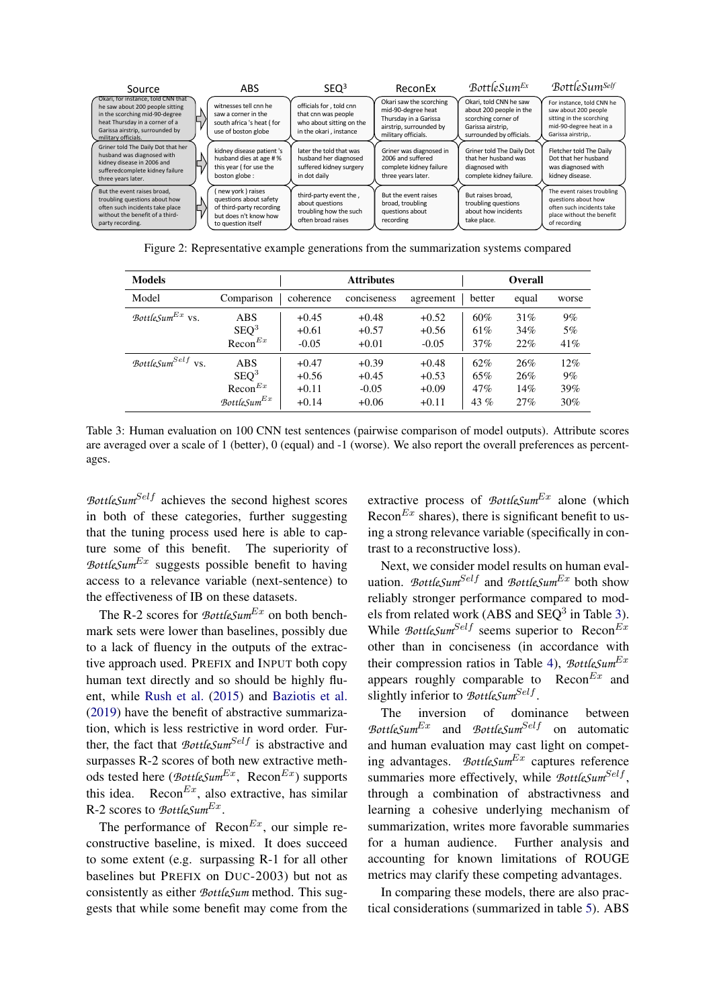<span id="page-6-1"></span>

| Source                                                                                                                                                                                              | ABS                                                                                                                   | SEQ <sup>3</sup>                                                                                     | ReconEx                                                                                                                  | BottleSum <sup>Ex</sup>                                                                                                   | <b>BottleSumSelf</b>                                                                                                           |
|-----------------------------------------------------------------------------------------------------------------------------------------------------------------------------------------------------|-----------------------------------------------------------------------------------------------------------------------|------------------------------------------------------------------------------------------------------|--------------------------------------------------------------------------------------------------------------------------|---------------------------------------------------------------------------------------------------------------------------|--------------------------------------------------------------------------------------------------------------------------------|
| Okari, for instance, told CNN that<br>he saw about 200 people sitting<br>in the scorching mid-90-degree<br>heat Thursday in a corner of a<br>Garissa airstrip, surrounded by<br>military officials. | witnesses tell cnn he<br>saw a corner in the<br>south africa 's heat ( for<br>use of boston globe                     | officials for, told cnn<br>that cnn was people<br>who about sitting on the<br>in the okari, instance | Okari saw the scorching<br>mid-90-degree heat<br>Thursday in a Garissa<br>airstrip, surrounded by<br>military officials. | Okari, told CNN he saw<br>about 200 people in the<br>scorching corner of<br>Garissa airstrip.<br>surrounded by officials. | For instance, told CNN he<br>saw about 200 people<br>sitting in the scorching<br>mid-90-degree heat in a<br>Garissa airstrip,. |
| Griner told The Daily Dot that her<br>husband was diagnosed with<br>kidney disease in 2006 and<br>sufferedcomplete kidney failure<br>three years later.                                             | kidney disease patient 's<br>husband dies at age # %<br>this year (for use the<br>boston globe:                       | later the told that was<br>husband her diagnosed<br>suffered kidney surgery<br>in dot daily          | Griner was diagnosed in<br>2006 and suffered<br>complete kidney failure<br>three years later.                            | Griner told The Daily Dot<br>that her husband was<br>diagnosed with<br>complete kidney failure.                           | Fletcher told The Daily<br>Dot that her husband<br>was diagnosed with<br>kidney disease.                                       |
| But the event raises broad,<br>troubling questions about how<br>often such incidents take place<br>without the benefit of a third-<br>party recording.                                              | new york) raises<br>questions about safety<br>of third-party recording<br>but does n't know how<br>to question itself | third-party event the,<br>about questions<br>troubling how the such<br>often broad raises            | But the event raises<br>broad, troubling<br>questions about<br>recording                                                 | But raises broad.<br>troubling questions<br>about how incidents<br>take place.                                            | The event raises troubling<br>questions about how<br>often such incidents take<br>place without the benefit<br>of recording    |

Figure 2 Figure 2: Representative example generations from the summarization systems compared  $\sim$ 

<span id="page-6-0"></span>

| <b>Models</b>                 |                     |           | <b>Attributes</b> |           |        | <b>Overall</b> |       |
|-------------------------------|---------------------|-----------|-------------------|-----------|--------|----------------|-------|
| Model                         | Comparison          | coherence | conciseness       | agreement | better | equal          | worse |
| BottleSum <sup>Ex</sup> vs.   | <b>ABS</b>          | $+0.45$   | $+0.48$           | $+0.52$   | 60%    | 31%            | $9\%$ |
|                               | SEQ <sup>3</sup>    | $+0.61$   | $+0.57$           | $+0.56$   | 61%    | 34%            | $5\%$ |
|                               | $\text{Recon}^{Ex}$ | $-0.05$   | $+0.01$           | $-0.05$   | 37%    | 22%            | 41\%  |
| BottleSum <sup>Self</sup> vs. | <b>ABS</b>          | $+0.47$   | $+0.39$           | $+0.48$   | 62%    | 26%            | 12%   |
|                               | SEQ <sup>3</sup>    | $+0.56$   | $+0.45$           | $+0.53$   | 65%    | 26%            | $9\%$ |
|                               | $\text{Recon}^{Ex}$ | $+0.11$   | $-0.05$           | $+0.09$   | 47%    | 14%            | 39%   |
|                               | BottleSum $^{Ex}$   | $+0.14$   | $+0.06$           | $+0.11$   | 43 $%$ | 27%            | 30%   |

Table 3: Human evaluation on 100 CNN test sentences (pairwise comparison of model outputs). Attribute scores are averaged over a scale of 1 (better), 0 (equal) and -1 (worse). We also report the overall preferences as percentages.

*BottleSum<sup>Self</sup>* achieves the second highest scores in both of these categories, further suggesting that the tuning process used here is able to capture some of this benefit. The superiority of *BottleSum* $Ex$  suggests possible benefit to having access to a relevance variable (next-sentence) to the effectiveness of IB on these datasets.

The R-2 scores for *BottleSum<sup>Ex</sup>* on both benchmark sets were lower than baselines, possibly due to a lack of fluency in the outputs of the extractive approach used. PREFIX and INPUT both copy human text directly and so should be highly fluent, while [Rush et al.](#page-9-1) [\(2015\)](#page-9-1) and [Baziotis et al.](#page-9-9) [\(2019\)](#page-9-9) have the benefit of abstractive summarization, which is less restrictive in word order. Further, the fact that *BottleSum<sup>Self</sup>* is abstractive and surpasses R-2 scores of both new extractive methods tested here ( $\mathcal{B}ottleSum^{Ex}$ , Recon<sup>Ex</sup>) supports this idea. Recon $^{Ex}$ , also extractive, has similar R-2 scores to *BottleSum<sup>Ex</sup>*.

The performance of Recon $^{Ex}$ , our simple reconstructive baseline, is mixed. It does succeed to some extent (e.g. surpassing R-1 for all other baselines but PREFIX on DUC-2003) but not as consistently as either *BottleSum* method. This suggests that while some benefit may come from the extractive process of *BottleSum<sup>Ex</sup>* alone (which Recon $Ex$  shares), there is significant benefit to using a strong relevance variable (specifically in contrast to a reconstructive loss).

Next, we consider model results on human evaluation. *BottleSum<sup>Self</sup>* and *BottleSum<sup>Ex</sup>* both show reliably stronger performance compared to models from related work (ABS and  $SEQ<sup>3</sup>$  in Table [3\)](#page-6-0). While  $BottleSum<sup>Self</sup>$  seems superior to  $\text{Recon}^{Ex}$ other than in conciseness (in accordance with their compression ratios in Table [4\)](#page-7-0), *BottleSum*Ex appears roughly comparable to  $\text{Recon}^{Ex}$  and slightly inferior to *BottleSum<sup>Self</sup>*.

The inversion of dominance between *BottleSum*Ex and *BottleSum*Self on automatic and human evaluation may cast light on competing advantages. *BottleSum*Ex captures reference summaries more effectively, while BottleSum<sup>Self</sup>, through a combination of abstractivness and learning a cohesive underlying mechanism of summarization, writes more favorable summaries for a human audience. Further analysis and accounting for known limitations of ROUGE metrics may clarify these competing advantages.

In comparing these models, there are also practical considerations (summarized in table [5\)](#page-8-0). ABS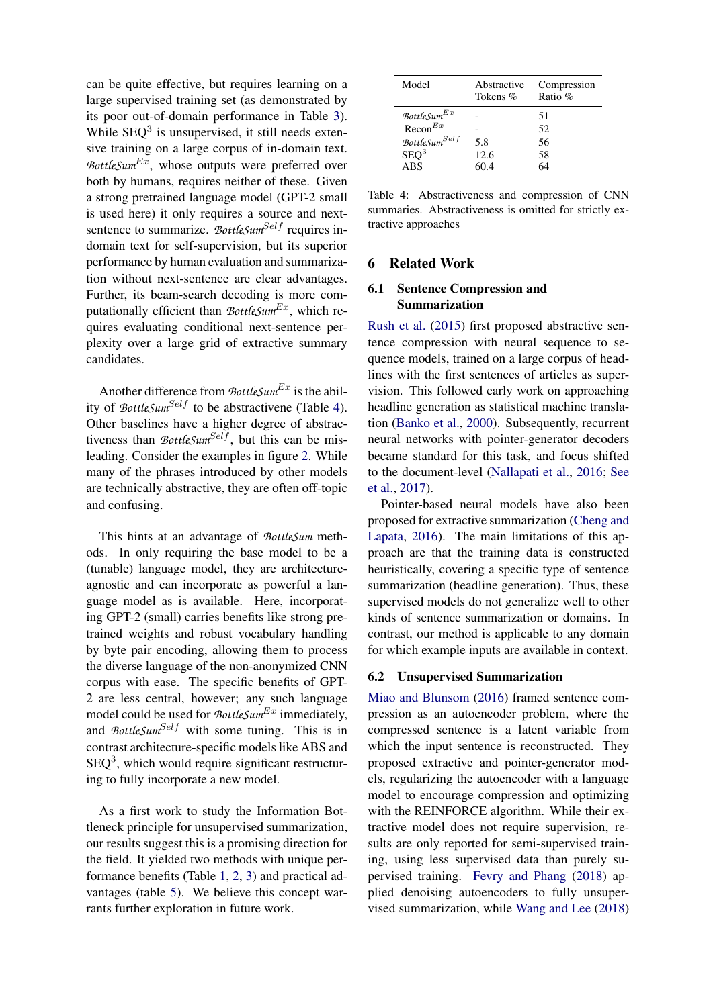can be quite effective, but requires learning on a large supervised training set (as demonstrated by its poor out-of-domain performance in Table [3\)](#page-6-0). While  $SEQ<sup>3</sup>$  is unsupervised, it still needs extensive training on a large corpus of in-domain text. *BottleSum*Ex, whose outputs were preferred over both by humans, requires neither of these. Given a strong pretrained language model (GPT-2 small is used here) it only requires a source and nextsentence to summarize. BottleSum<sup>Self</sup> requires indomain text for self-supervision, but its superior performance by human evaluation and summarization without next-sentence are clear advantages. Further, its beam-search decoding is more computationally efficient than *BottleSum<sup>Ex</sup>*, which requires evaluating conditional next-sentence perplexity over a large grid of extractive summary candidates.

Another difference from *BottleSum*<sup>Ex</sup> is the ability of *BottleSum<sup>Self</sup>* to be abstractivene (Table [4\)](#page-7-0). Other baselines have a higher degree of abstractiveness than  $BottleSum<sup>Self</sup>$ , but this can be misleading. Consider the examples in figure [2.](#page-6-1) While many of the phrases introduced by other models are technically abstractive, they are often off-topic and confusing.

This hints at an advantage of *BottleSum* methods. In only requiring the base model to be a (tunable) language model, they are architectureagnostic and can incorporate as powerful a language model as is available. Here, incorporating GPT-2 (small) carries benefits like strong pretrained weights and robust vocabulary handling by byte pair encoding, allowing them to process the diverse language of the non-anonymized CNN corpus with ease. The specific benefits of GPT-2 are less central, however; any such language model could be used for *BottleSum<sup>Ex</sup>* immediately, and *BottleSum<sup>Self</sup>* with some tuning. This is in contrast architecture-specific models like ABS and  $SEQ<sup>3</sup>$ , which would require significant restructuring to fully incorporate a new model.

As a first work to study the Information Bottleneck principle for unsupervised summarization, our results suggest this is a promising direction for the field. It yielded two methods with unique performance benefits (Table [1,](#page-5-0) [2,](#page-5-1) [3\)](#page-6-0) and practical advantages (table [5\)](#page-8-0). We believe this concept warrants further exploration in future work.

<span id="page-7-0"></span>

| Model                         | Abstractive<br>Tokens % | Compression<br>Ratio $%$ |
|-------------------------------|-------------------------|--------------------------|
| $\mathcal B$ ottleSum $^{Ex}$ |                         | 51                       |
| $\text{Recon}^{Ex}$           |                         | 52                       |
| BottleSum <sup>Self</sup>     | 5.8                     | 56                       |
| SEQ <sup>3</sup>              | 12.6                    | 58                       |
| <b>ABS</b>                    | 60.4                    | 64                       |

Table 4: Abstractiveness and compression of CNN summaries. Abstractiveness is omitted for strictly extractive approaches

### 6 Related Work

### 6.1 Sentence Compression and Summarization

[Rush et al.](#page-9-1) [\(2015\)](#page-9-1) first proposed abstractive sentence compression with neural sequence to sequence models, trained on a large corpus of headlines with the first sentences of articles as supervision. This followed early work on approaching headline generation as statistical machine translation [\(Banko et al.,](#page-9-16) [2000\)](#page-9-16). Subsequently, recurrent neural networks with pointer-generator decoders became standard for this task, and focus shifted to the document-level [\(Nallapati et al.,](#page-9-2) [2016;](#page-9-2) [See](#page-9-14) [et al.,](#page-9-14) [2017\)](#page-9-14).

Pointer-based neural models have also been proposed for extractive summarization [\(Cheng and](#page-9-17) [Lapata,](#page-9-17) [2016\)](#page-9-17). The main limitations of this approach are that the training data is constructed heuristically, covering a specific type of sentence summarization (headline generation). Thus, these supervised models do not generalize well to other kinds of sentence summarization or domains. In contrast, our method is applicable to any domain for which example inputs are available in context.

#### 6.2 Unsupervised Summarization

[Miao and Blunsom](#page-9-7) [\(2016\)](#page-9-7) framed sentence compression as an autoencoder problem, where the compressed sentence is a latent variable from which the input sentence is reconstructed. They proposed extractive and pointer-generator models, regularizing the autoencoder with a language model to encourage compression and optimizing with the REINFORCE algorithm. While their extractive model does not require supervision, results are only reported for semi-supervised training, using less supervised data than purely supervised training. [Fevry and Phang](#page-9-8) [\(2018\)](#page-9-8) applied denoising autoencoders to fully unsupervised summarization, while [Wang and Lee](#page-10-0) [\(2018\)](#page-10-0)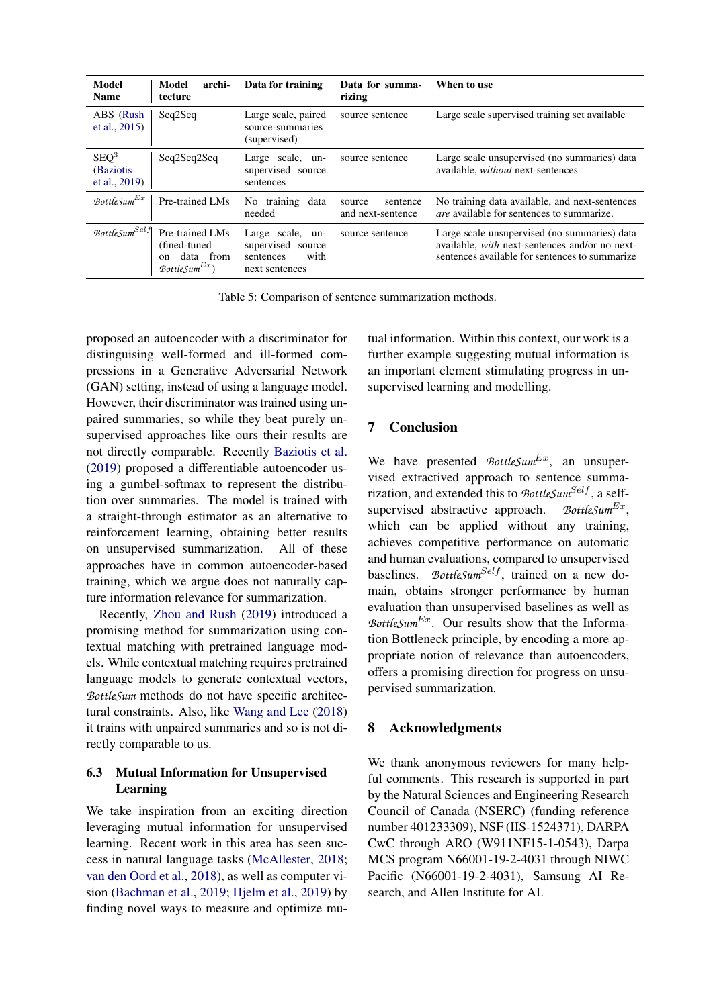<span id="page-8-0"></span>

| <b>Model</b><br><b>Name</b>                    | archi-<br>Model<br>tecture                                                            | Data for training                                                            | Data for summa-<br>rizing               | When to use                                                                                                                                      |
|------------------------------------------------|---------------------------------------------------------------------------------------|------------------------------------------------------------------------------|-----------------------------------------|--------------------------------------------------------------------------------------------------------------------------------------------------|
| ABS (Rush<br>et al., $2015$ )                  | Seq2Seq                                                                               | Large scale, paired<br>source-summaries<br>(supervised)                      | source sentence                         | Large scale supervised training set available                                                                                                    |
| SEQ <sup>3</sup><br>(Baziotis<br>et al., 2019) | Seq2Seq2Seq                                                                           | Large scale, un-<br>supervised source<br>sentences                           | source sentence                         | Large scale unsupervised (no summaries) data<br>available, without next-sentences                                                                |
| $\mathcal B$ ottle $\mathcal S$ um $^{Ex}$     | Pre-trained LMs                                                                       | No training<br>data<br>needed                                                | sentence<br>source<br>and next-sentence | No training data available, and next-sentences<br><i>are</i> available for sentences to summarize.                                               |
| $\mathcal B$ ottle $\mathcal S$ um $^{Self}$   | Pre-trained LMs<br>(fined-tuned)<br>data from<br>on<br>$\mathcal{B}ott le Sum^{Ex}$ ) | Large scale, un-<br>supervised source<br>with<br>sentences<br>next sentences | source sentence                         | Large scale unsupervised (no summaries) data<br>available, with next-sentences and/or no next-<br>sentences available for sentences to summarize |

Table 5: Comparison of sentence summarization methods.

proposed an autoencoder with a discriminator for distinguising well-formed and ill-formed compressions in a Generative Adversarial Network (GAN) setting, instead of using a language model. However, their discriminator was trained using unpaired summaries, so while they beat purely unsupervised approaches like ours their results are not directly comparable. Recently [Baziotis et al.](#page-9-9) [\(2019\)](#page-9-9) proposed a differentiable autoencoder using a gumbel-softmax to represent the distribution over summaries. The model is trained with a straight-through estimator as an alternative to reinforcement learning, obtaining better results on unsupervised summarization. All of these approaches have in common autoencoder-based training, which we argue does not naturally capture information relevance for summarization.

Recently, [Zhou and Rush](#page-10-1) [\(2019\)](#page-10-1) introduced a promising method for summarization using contextual matching with pretrained language models. While contextual matching requires pretrained language models to generate contextual vectors, *BottleSum* methods do not have specific architectural constraints. Also, like [Wang and Lee](#page-10-0) [\(2018\)](#page-10-0) it trains with unpaired summaries and so is not directly comparable to us.

### 6.3 Mutual Information for Unsupervised Learning

We take inspiration from an exciting direction leveraging mutual information for unsupervised learning. Recent work in this area has seen success in natural language tasks [\(McAllester,](#page-9-18) [2018;](#page-9-18) [van den Oord et al.,](#page-9-19) [2018\)](#page-9-19), as well as computer vision [\(Bachman et al.,](#page-9-20) [2019;](#page-9-20) [Hjelm et al.,](#page-9-21) [2019\)](#page-9-21) by finding novel ways to measure and optimize mu-

tual information. Within this context, our work is a further example suggesting mutual information is an important element stimulating progress in unsupervised learning and modelling.

# 7 Conclusion

We have presented *BottleSum<sup>Ex</sup>*, an unsupervised extractived approach to sentence summarization, and extended this to *BottleSum<sup>Self</sup>*, a selfsupervised abstractive approach. BottleSum $^{Ex}$ . which can be applied without any training, achieves competitive performance on automatic and human evaluations, compared to unsupervised baselines. *BottleSum<sup>Self</sup>*, trained on a new domain, obtains stronger performance by human evaluation than unsupervised baselines as well as *BottleSum*<sup>Ex</sup>. Our results show that the Information Bottleneck principle, by encoding a more appropriate notion of relevance than autoencoders, offers a promising direction for progress on unsupervised summarization.

# 8 Acknowledgments

We thank anonymous reviewers for many helpful comments. This research is supported in part by the Natural Sciences and Engineering Research Council of Canada (NSERC) (funding reference number 401233309), NSF (IIS-1524371), DARPA CwC through ARO (W911NF15-1-0543), Darpa MCS program N66001-19-2-4031 through NIWC Pacific (N66001-19-2-4031), Samsung AI Research, and Allen Institute for AI.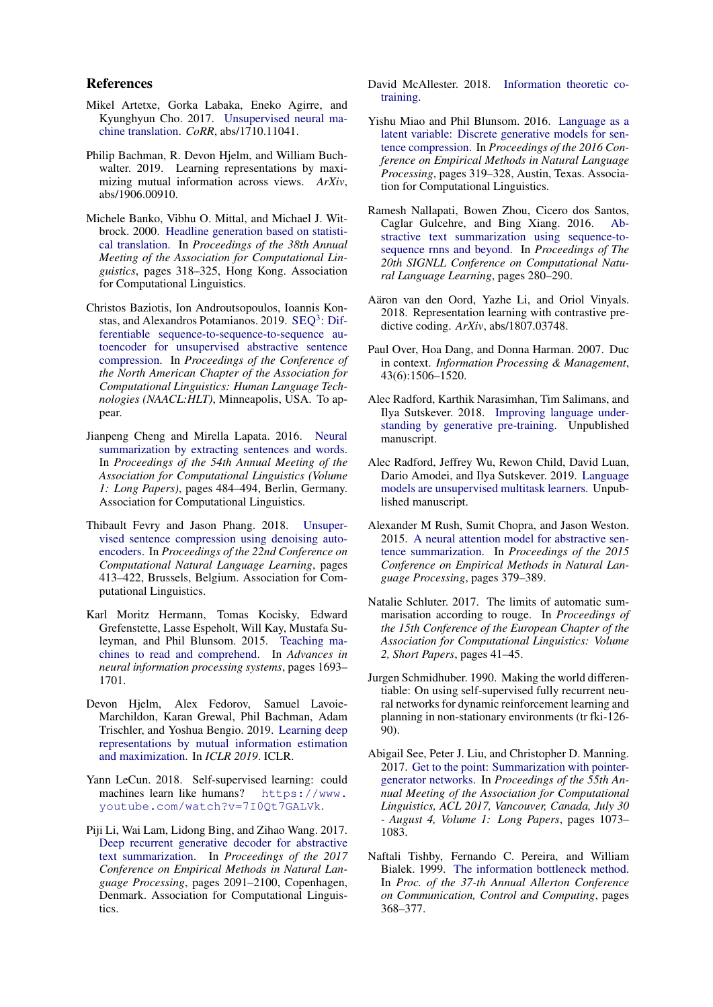### References

- <span id="page-9-4"></span>Mikel Artetxe, Gorka Labaka, Eneko Agirre, and Kyunghyun Cho. 2017. [Unsupervised neural ma](http://arxiv.org/abs/1710.11041)[chine translation.](http://arxiv.org/abs/1710.11041) *CoRR*, abs/1710.11041.
- <span id="page-9-20"></span>Philip Bachman, R. Devon Hjelm, and William Buchwalter. 2019. Learning representations by maximizing mutual information across views. *ArXiv*, abs/1906.00910.
- <span id="page-9-16"></span>Michele Banko, Vibhu O. Mittal, and Michael J. Witbrock. 2000. [Headline generation based on statisti](https://doi.org/10.3115/1075218.1075259)[cal translation.](https://doi.org/10.3115/1075218.1075259) In *Proceedings of the 38th Annual Meeting of the Association for Computational Linguistics*, pages 318–325, Hong Kong. Association for Computational Linguistics.
- <span id="page-9-9"></span>Christos Baziotis, Ion Androutsopoulos, Ioannis Kon-stas, and Alexandros Potamianos. 2019. SEQ<sup>3</sup>[: Dif](https://arxiv.org/abs/1904.03651)[ferentiable sequence-to-sequence-to-sequence au](https://arxiv.org/abs/1904.03651)[toencoder for unsupervised abstractive sentence](https://arxiv.org/abs/1904.03651) [compression.](https://arxiv.org/abs/1904.03651) In *Proceedings of the Conference of the North American Chapter of the Association for Computational Linguistics: Human Language Technologies (NAACL:HLT)*, Minneapolis, USA. To appear.
- <span id="page-9-17"></span>Jianpeng Cheng and Mirella Lapata. 2016. [Neural](https://doi.org/10.18653/v1/P16-1046) [summarization by extracting sentences and words.](https://doi.org/10.18653/v1/P16-1046) In *Proceedings of the 54th Annual Meeting of the Association for Computational Linguistics (Volume 1: Long Papers)*, pages 484–494, Berlin, Germany. Association for Computational Linguistics.
- <span id="page-9-8"></span>Thibault Fevry and Jason Phang. 2018. [Unsuper](https://www.aclweb.org/anthology/K18-1040)[vised sentence compression using denoising auto](https://www.aclweb.org/anthology/K18-1040)[encoders.](https://www.aclweb.org/anthology/K18-1040) In *Proceedings of the 22nd Conference on Computational Natural Language Learning*, pages 413–422, Brussels, Belgium. Association for Computational Linguistics.
- <span id="page-9-3"></span>Karl Moritz Hermann, Tomas Kocisky, Edward Grefenstette, Lasse Espeholt, Will Kay, Mustafa Suleyman, and Phil Blunsom. 2015. [Teaching ma](https://papers.nips.cc/paper/5945-teaching-machines-to-read-and-comprehend.pdf)[chines to read and comprehend.](https://papers.nips.cc/paper/5945-teaching-machines-to-read-and-comprehend.pdf) In *Advances in neural information processing systems*, pages 1693– 1701.
- <span id="page-9-21"></span>Devon Hjelm, Alex Fedorov, Samuel Lavoie-Marchildon, Karan Grewal, Phil Bachman, Adam Trischler, and Yoshua Bengio. 2019. [Learning deep](https://www.microsoft.com/en-us/research/publication/learning-deep-representations-by-mutual-information-estimation-and-maximization/) [representations by mutual information estimation](https://www.microsoft.com/en-us/research/publication/learning-deep-representations-by-mutual-information-estimation-and-maximization/) [and maximization.](https://www.microsoft.com/en-us/research/publication/learning-deep-representations-by-mutual-information-estimation-and-maximization/) In *ICLR 2019*. ICLR.
- <span id="page-9-5"></span>Yann LeCun. 2018. Self-supervised learning: could machines learn like humans? [https://www.](https://www.youtube.com/watch?v=7I0Qt7GALVk) [youtube.com/watch?v=7I0Qt7GALVk](https://www.youtube.com/watch?v=7I0Qt7GALVk).
- <span id="page-9-15"></span>Piji Li, Wai Lam, Lidong Bing, and Zihao Wang. 2017. [Deep recurrent generative decoder for abstractive](https://doi.org/10.18653/v1/D17-1222) [text summarization.](https://doi.org/10.18653/v1/D17-1222) In *Proceedings of the 2017 Conference on Empirical Methods in Natural Language Processing*, pages 2091–2100, Copenhagen, Denmark. Association for Computational Linguistics.
- <span id="page-9-18"></span>David McAllester. 2018. [Information theoretic co](http://arxiv.org/abs/1802.07572)[training.](http://arxiv.org/abs/1802.07572)
- <span id="page-9-7"></span>Yishu Miao and Phil Blunsom. 2016. [Language as a](https://doi.org/10.18653/v1/D16-1031) [latent variable: Discrete generative models for sen](https://doi.org/10.18653/v1/D16-1031)[tence compression.](https://doi.org/10.18653/v1/D16-1031) In *Proceedings of the 2016 Conference on Empirical Methods in Natural Language Processing*, pages 319–328, Austin, Texas. Association for Computational Linguistics.
- <span id="page-9-2"></span>Ramesh Nallapati, Bowen Zhou, Cicero dos Santos, Caglar Gulcehre, and Bing Xiang. 2016. [Ab](https://www.aclweb.org/anthology/K16-1028)[stractive text summarization using sequence-to](https://www.aclweb.org/anthology/K16-1028)[sequence rnns and beyond.](https://www.aclweb.org/anthology/K16-1028) In *Proceedings of The 20th SIGNLL Conference on Computational Natural Language Learning*, pages 280–290.
- <span id="page-9-19"></span>Aäron van den Oord, Yazhe Li, and Oriol Vinyals. 2018. Representation learning with contrastive predictive coding. *ArXiv*, abs/1807.03748.
- <span id="page-9-12"></span>Paul Over, Hoa Dang, and Donna Harman. 2007. Duc in context. *Information Processing & Management*, 43(6):1506–1520.
- <span id="page-9-11"></span>Alec Radford, Karthik Narasimhan, Tim Salimans, and Ilya Sutskever. 2018. [Improving language under](https://s3-us-west-2.amazonaws.com/openai-assets/research-covers/language-unsupervised/language_understanding_paper.pdf)[standing by generative pre-training.](https://s3-us-west-2.amazonaws.com/openai-assets/research-covers/language-unsupervised/language_understanding_paper.pdf) Unpublished manuscript.
- <span id="page-9-10"></span>Alec Radford, Jeffrey Wu, Rewon Child, David Luan, Dario Amodei, and Ilya Sutskever. 2019. [Language](https://d4mucfpksywv.cloudfront.net/better-language-models/language_models_are_unsupervised_multitask_learners.pdf) [models are unsupervised multitask learners.](https://d4mucfpksywv.cloudfront.net/better-language-models/language_models_are_unsupervised_multitask_learners.pdf) Unpublished manuscript.
- <span id="page-9-1"></span>Alexander M Rush, Sumit Chopra, and Jason Weston. 2015. [A neural attention model for abstractive sen](https://www.aclweb.org/anthology/D15-1044)[tence summarization.](https://www.aclweb.org/anthology/D15-1044) In *Proceedings of the 2015 Conference on Empirical Methods in Natural Language Processing*, pages 379–389.
- <span id="page-9-13"></span>Natalie Schluter. 2017. The limits of automatic summarisation according to rouge. In *Proceedings of the 15th Conference of the European Chapter of the Association for Computational Linguistics: Volume 2, Short Papers*, pages 41–45.
- <span id="page-9-6"></span>Jurgen Schmidhuber. 1990. Making the world differentiable: On using self-supervised fully recurrent neural networks for dynamic reinforcement learning and planning in non-stationary environments (tr fki-126- 90).
- <span id="page-9-14"></span>Abigail See, Peter J. Liu, and Christopher D. Manning. 2017. [Get to the point: Summarization with pointer](https://doi.org/10.18653/v1/P17-1099)[generator networks.](https://doi.org/10.18653/v1/P17-1099) In *Proceedings of the 55th Annual Meeting of the Association for Computational Linguistics, ACL 2017, Vancouver, Canada, July 30 - August 4, Volume 1: Long Papers*, pages 1073– 1083.
- <span id="page-9-0"></span>Naftali Tishby, Fernando C. Pereira, and William Bialek. 1999. [The information bottleneck method.](https://www.cs.huji.ac.il/labs/learning/Papers/allerton.pdf) In *Proc. of the 37-th Annual Allerton Conference on Communication, Control and Computing*, pages 368–377.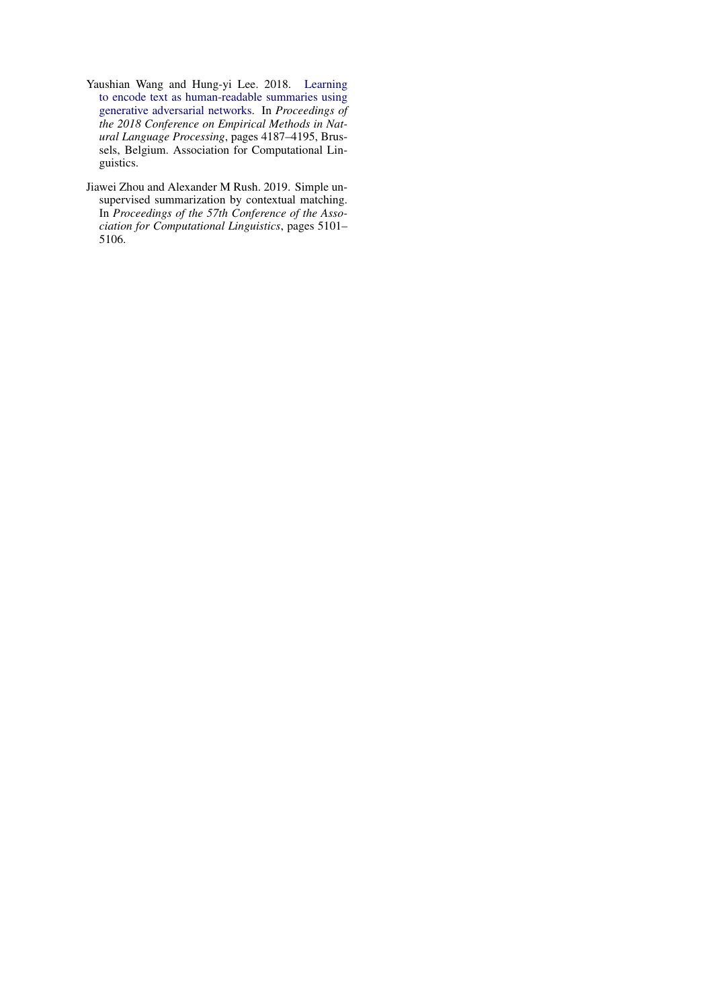- <span id="page-10-0"></span>Yaushian Wang and Hung-yi Lee. 2018. [Learning](https://www.aclweb.org/anthology/D18-1451) [to encode text as human-readable summaries using](https://www.aclweb.org/anthology/D18-1451) [generative adversarial networks.](https://www.aclweb.org/anthology/D18-1451) In *Proceedings of the 2018 Conference on Empirical Methods in Natural Language Processing*, pages 4187–4195, Brussels, Belgium. Association for Computational Linguistics.
- <span id="page-10-1"></span>Jiawei Zhou and Alexander M Rush. 2019. Simple unsupervised summarization by contextual matching. In *Proceedings of the 57th Conference of the Association for Computational Linguistics*, pages 5101– 5106.